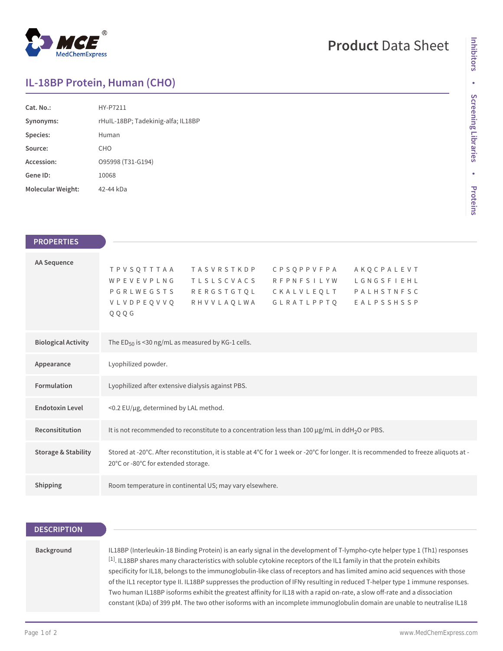

## **Product** Data Sheet

## **IL-18BP Protein, Human (CHO)**

| Cat. No.:         | HY-P7211                           |
|-------------------|------------------------------------|
| Synonyms:         | rHuIL-18BP; Tadekinig-alfa; IL18BP |
| Species:          | Human                              |
| Source:           | CHO                                |
| Accession:        | O95998 (T31-G194)                  |
| Gene ID:          | 10068                              |
| Molecular Weight: | 42-44 kDa                          |

| <b>PROPERTIES</b>              |                                                                                                                                                                                                                                                                                           |
|--------------------------------|-------------------------------------------------------------------------------------------------------------------------------------------------------------------------------------------------------------------------------------------------------------------------------------------|
| <b>AA Sequence</b>             | C P S Q P P V F P A<br><b>TPVSQTTTAA</b><br><b>TASVRSTKDP</b><br>AKOCPALEVT<br>WPEVEVPLNG<br><b>TLSLSCVACS</b><br><b>RFPNFSILYW</b><br>LGNGSFIEHL<br>PGRLWEGSTS<br>RERGSTGTQL<br>CKALVLEQLT<br>PALHSTNFSC<br>VLVDPEQVVQ<br><b>RHVVLAQLWA</b><br>G L R A T L P P T Q<br>EALPSSHSSP<br>QQQG |
| <b>Biological Activity</b>     | The ED <sub>50</sub> is <30 ng/mL as measured by KG-1 cells.                                                                                                                                                                                                                              |
| Appearance                     | Lyophilized powder.                                                                                                                                                                                                                                                                       |
| <b>Formulation</b>             | Lyophilized after extensive dialysis against PBS.                                                                                                                                                                                                                                         |
| <b>Endotoxin Level</b>         | <0.2 EU/µg, determined by LAL method.                                                                                                                                                                                                                                                     |
| Reconsititution                | It is not recommended to reconstitute to a concentration less than 100 µg/mL in ddH <sub>2</sub> O or PBS.                                                                                                                                                                                |
| <b>Storage &amp; Stability</b> | Stored at -20°C. After reconstitution, it is stable at 4°C for 1 week or -20°C for longer. It is recommended to freeze aliquots at -<br>20°C or -80°C for extended storage.                                                                                                               |
| Shipping                       | Room temperature in continental US; may vary elsewhere.                                                                                                                                                                                                                                   |

| <b>DESCRIPTION</b> |                                                                                                                                                                                                                                                                                                                                                                                                                                                                                                                                                                                                                                                                                                                                                                               |
|--------------------|-------------------------------------------------------------------------------------------------------------------------------------------------------------------------------------------------------------------------------------------------------------------------------------------------------------------------------------------------------------------------------------------------------------------------------------------------------------------------------------------------------------------------------------------------------------------------------------------------------------------------------------------------------------------------------------------------------------------------------------------------------------------------------|
|                    |                                                                                                                                                                                                                                                                                                                                                                                                                                                                                                                                                                                                                                                                                                                                                                               |
| Background         | IL18BP (Interleukin-18 Binding Protein) is an early signal in the development of T-lympho-cyte helper type 1 (Th1) responses<br>[1]. IL18BP shares many characteristics with soluble cytokine receptors of the IL1 family in that the protein exhibits<br>specificity for IL18, belongs to the immunoglobulin-like class of receptors and has limited amino acid sequences with those<br>of the IL1 receptor type II. IL18BP suppresses the production of IFNy resulting in reduced T-helper type 1 immune responses.<br>Two human IL18BP isoforms exhibit the greatest affinity for IL18 with a rapid on-rate, a slow off-rate and a dissociation<br>constant (kDa) of 399 pM. The two other isoforms with an incomplete immunoglobulin domain are unable to neutralise IL18 |